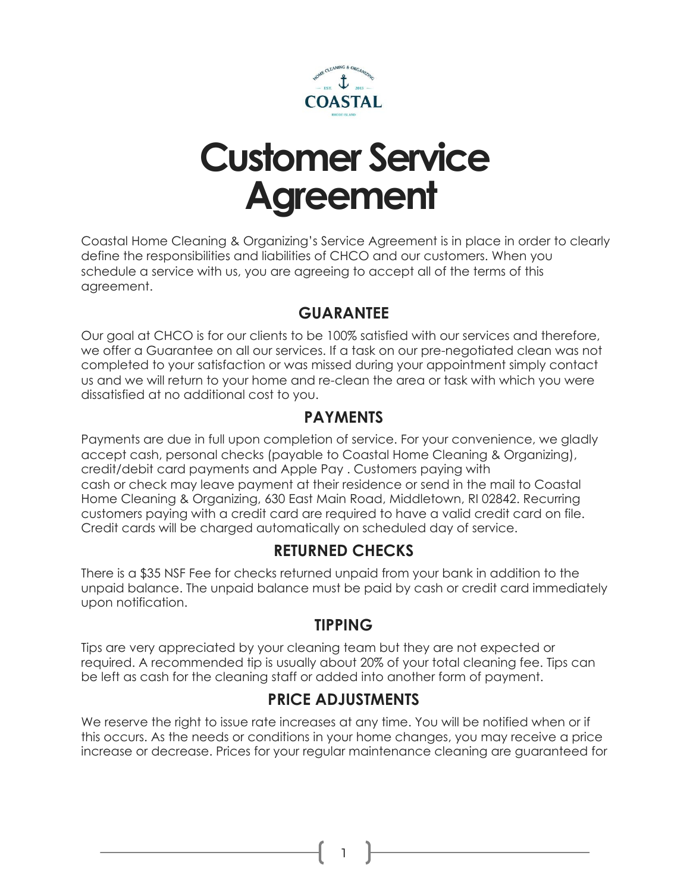

# **Customer Service Agreement**

Coastal Home Cleaning & Organizing's Service Agreement is in place in order to clearly define the responsibilities and liabilities of CHCO and our customers. When you schedule a service with us, you are agreeing to accept all of the terms of this agreement.

#### **GUARANTEE**

Our goal at CHCO is for our clients to be 100% satisfied with our services and therefore, we offer a Guarantee on all our services. If a task on our pre-negotiated clean was not completed to your satisfaction or was missed during your appointment simply contact us and we will return to your home and re-clean the area or task with which you were dissatisfied at no additional cost to you.

#### **PAYMENTS**

Payments are due in full upon completion of service. For your convenience, we gladly accept cash, personal checks (payable to Coastal Home Cleaning & Organizing), credit/debit card payments and Apple Pay . Customers paying with cash or check may leave payment at their residence or send in the mail to Coastal Home Cleaning & Organizing, 630 East Main Road, Middletown, RI 02842. Recurring customers paying with a credit card are required to have a valid credit card on file. Credit cards will be charged automatically on scheduled day of service.

## **RETURNED CHECKS**

There is a \$35 NSF Fee for checks returned unpaid from your bank in addition to the unpaid balance. The unpaid balance must be paid by cash or credit card immediately upon notification.

#### **TIPPING**

Tips are very appreciated by your cleaning team but they are not expected or required. A recommended tip is usually about 20% of your total cleaning fee. Tips can be left as cash for the cleaning staff or added into another form of payment.

## **PRICE ADJUSTMENTS**

We reserve the right to issue rate increases at any time. You will be notified when or if this occurs. As the needs or conditions in your home changes, you may receive a price increase or decrease. Prices for your regular maintenance cleaning are guaranteed for

1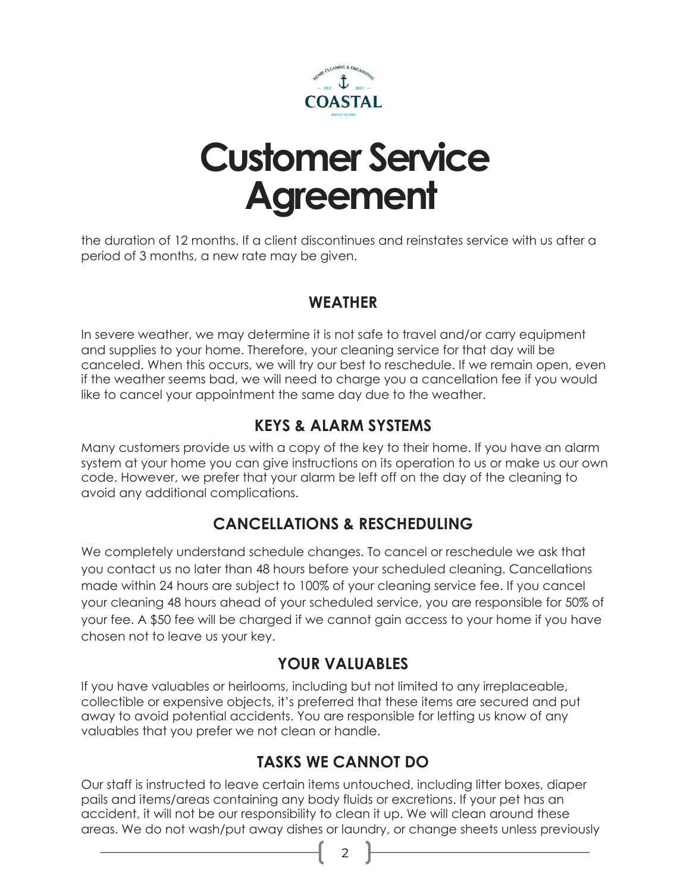

# **Customer Service Agreement**

the duration of 12 months. If a client discontinues and reinstates service with us after a period of 3 months, a new rate may be given.

## **WEATHER**

In severe weather, we may determine it is not safe to travel and/or carry equipment and supplies to your home. Therefore, your cleaning service for that day will be canceled. When this occurs, we will try our best to reschedule. If we remain open, even if the weather seems bad, we will need to charge you a cancellation fee if you would like to cancel your appointment the same day due to the weather.

## **KEYS & ALARM SYSTEMS**

Many customers provide us with a copy of the key to their home. If you have an alarm system at your home you can give instructions on its operation to us or make us our own code. However, we prefer that your alarm be left off on the day of the cleaning to avoid any additional complications.

## **CANCELLATIONS & RESCHEDULING**

We completely understand schedule changes. To cancel or reschedule we ask that you contact us no later than 48 hours before your scheduled cleaning. Cancellations made within 24 hours are subject to 100% of your cleaning service fee. If you cancel your cleaning 48 hours ahead of your scheduled service, you are responsible for 50% of your fee. A \$50 fee will be charged if we cannot gain access to your home if you have chosen not to leave us your key.

## **YOUR VALUABLES**

If you have valuables or heirlooms, including but not limited to any irreplaceable, collectible or expensive objects, it's preferred that these items are secured and put away to avoid potential accidents. You are responsible for letting us know of any valuables that you prefer we not clean or handle.

## **TASKS WE CANNOT DO**

Our staff is instructed to leave certain items untouched, including litter boxes, diaper pails and items/areas containing any body fluids or excretions. If your pet has an accident, it will not be our responsibility to clean it up. We will clean around these areas. We do not wash/put away dishes or laundry, or change sheets unless previously

 $\mathcal{P}$